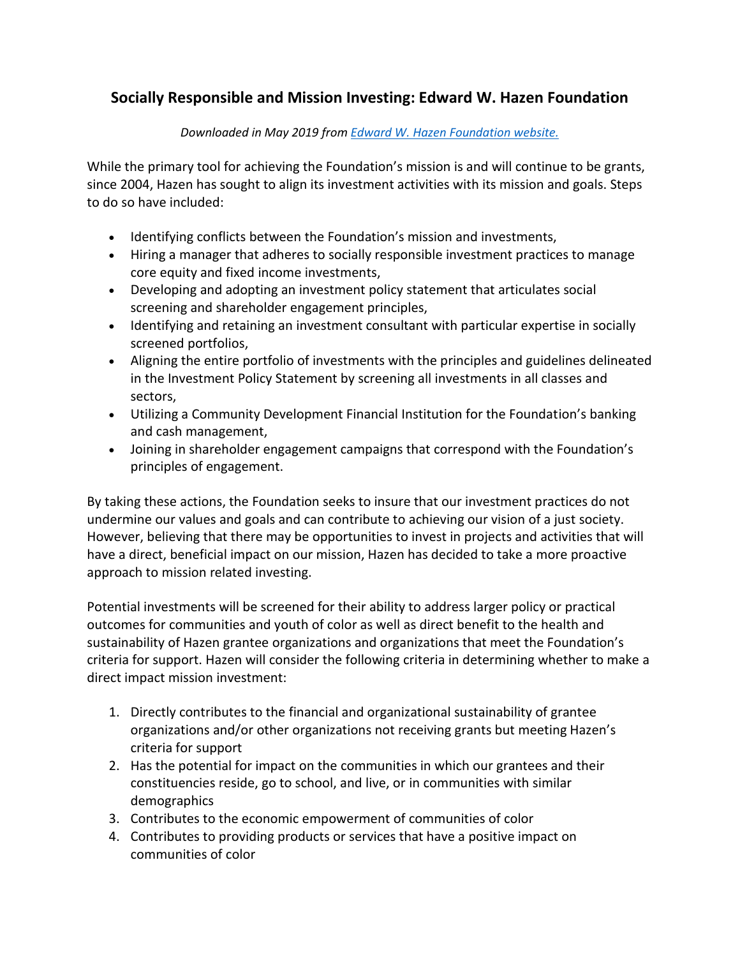## **Socially Responsible and Mission Investing: Edward W. Hazen Foundation**

## *Downloaded in May 2019 from [Edward W. Hazen Foundation website.](http://hazenfoundation.org/socially-responsible-and-mission-investing/socially-responsible-and-mission-investing/)*

While the primary tool for achieving the Foundation's mission is and will continue to be grants, since 2004, Hazen has sought to align its investment activities with its mission and goals. Steps to do so have included:

- Identifying conflicts between the Foundation's mission and investments,
- Hiring a manager that adheres to socially responsible investment practices to manage core equity and fixed income investments,
- Developing and adopting an investment policy statement that articulates social screening and shareholder engagement principles,
- Identifying and retaining an investment consultant with particular expertise in socially screened portfolios,
- Aligning the entire portfolio of investments with the principles and guidelines delineated in the Investment Policy Statement by screening all investments in all classes and sectors,
- Utilizing a Community Development Financial Institution for the Foundation's banking and cash management,
- Joining in shareholder engagement campaigns that correspond with the Foundation's principles of engagement.

By taking these actions, the Foundation seeks to insure that our investment practices do not undermine our values and goals and can contribute to achieving our vision of a just society. However, believing that there may be opportunities to invest in projects and activities that will have a direct, beneficial impact on our mission, Hazen has decided to take a more proactive approach to mission related investing.

Potential investments will be screened for their ability to address larger policy or practical outcomes for communities and youth of color as well as direct benefit to the health and sustainability of Hazen grantee organizations and organizations that meet the Foundation's criteria for support. Hazen will consider the following criteria in determining whether to make a direct impact mission investment:

- 1. Directly contributes to the financial and organizational sustainability of grantee organizations and/or other organizations not receiving grants but meeting Hazen's criteria for support
- 2. Has the potential for impact on the communities in which our grantees and their constituencies reside, go to school, and live, or in communities with similar demographics
- 3. Contributes to the economic empowerment of communities of color
- 4. Contributes to providing products or services that have a positive impact on communities of color